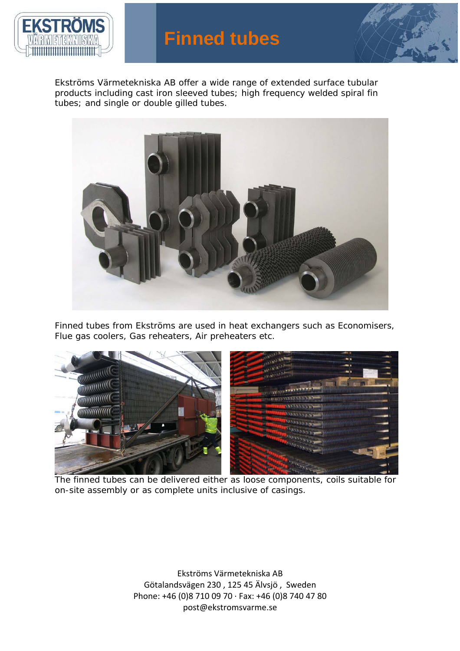



Ekströms Värmetekniska AB offer a wide range of extended surface tubular products including cast iron sleeved tubes; high frequency welded spiral fin tubes; and single or double gilled tubes.



Finned tubes from Ekströms are used in heat exchangers such as Economisers, Flue gas coolers, Gas reheaters, Air preheaters etc.



The finned tubes can be delivered either as loose components, coils suitable for on-site assembly or as complete units inclusive of casings.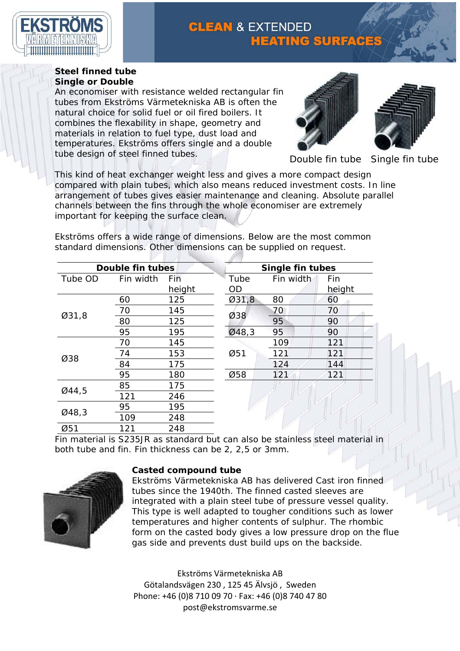

## **CLEAN & EXTENDED HEATING SURFACES**

## **Steel finned tube Single or Double**

An economiser with resistance welded rectangular fin tubes from Ekströms Värmetekniska AB is often the natural choice for solid fuel or oil fired boilers. It combines the flexability in shape, geometry and materials in relation to fuel type, dust load and temperatures. Ekströms offers single and a double tube design of steel finned tubes.





Double fin tube Single fin tube

This kind of heat exchanger weight less and gives a more compact design compared with plain tubes, which also means reduced investment costs. In line arrangement of tubes gives easier maintenance and cleaning. Absolute parallel channels between the fins through the whole economiser are extremely important for keeping the surface clean.

Ekströms offers a wide range of dimensions. Below are the most common standard dimensions. Other dimensions can be supplied on request.

| Double fin tubes |           |        | Single fin tubes |           |        |
|------------------|-----------|--------|------------------|-----------|--------|
| Tube OD          | Fin width | Fin    | Tube             | Fin width | Fin    |
|                  |           | height | OD               |           | height |
| Ø31,8            | 60        | 125    | 031,8            | 80        | 60     |
|                  | 70        | 145    | Ø38              | 70        | 70     |
|                  | 80        | 125    |                  | 95        | 90     |
|                  | 95        | 195    | Ø48,3            | 95        | 90     |
| Ø38              | 70        | 145    | Ø51              | 109       | 121    |
|                  | 74        | 153    |                  | 121       | 121    |
|                  | 84        | 175    |                  | 124       | 144    |
|                  | 95        | 180    | Ø58              | 121       | 121    |
| Ø44,5            | 85        | 175    |                  |           |        |
|                  | 121       | 246    |                  |           |        |
| Ø48,3            | 95        | 195    |                  |           |        |
|                  | 109       | 248    |                  |           |        |

Fin material is S235JR as standard but can also be stainless steel material in both tube and fin. Fin thickness can be 2, 2,5 or 3mm.



Ø51 121 248

### **Casted compound tube**

Ekströms Värmetekniska AB has delivered Cast iron finned tubes since the 1940th. The finned casted sleeves are integrated with a plain steel tube of pressure vessel quality. This type is well adapted to tougher conditions such as lower temperatures and higher contents of sulphur. The rhombic form on the casted body gives a low pressure drop on the flue gas side and prevents dust build ups on the backside.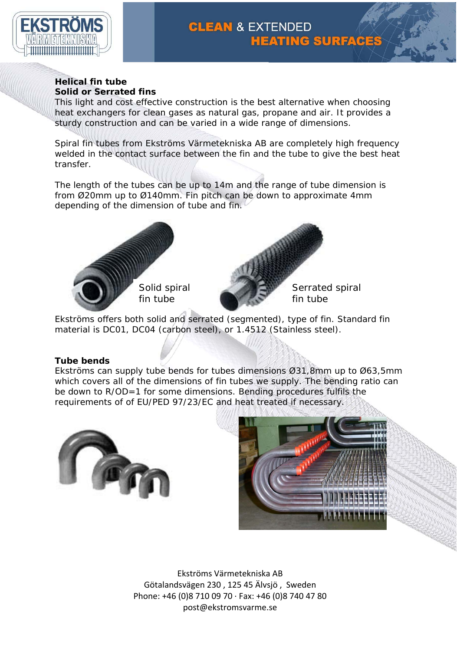

# **CLEAN & EXTENDED HEATING SURFACES**

#### **Helical fin tube Solid or Serrated fins**

This light and cost effective construction is the best alternative when choosing heat exchangers for clean gases as natural gas, propane and air. It provides a sturdy construction and can be varied in a wide range of dimensions.

Spiral fin tubes from Ekströms Värmetekniska AB are completely high frequency welded in the contact surface between the fin and the tube to give the best heat transfer.

The length of the tubes can be up to 14m and the range of tube dimension is from Ø20mm up to Ø140mm. Fin pitch can be down to approximate 4mm depending of the dimension of tube and fin.





Serrated spiral fin tube

Ekströms offers both solid and serrated (segmented), type of fin. Standard fin material is DC01, DC04 (carbon steel), or 1.4512 (Stainless steel).

## **Tube bends**

Ekströms can supply tube bends for tubes dimensions Ø31,8mm up to Ø63,5mm which covers all of the dimensions of fin tubes we supply. The bending ratio can be down to R/OD=1 for some dimensions. Bending procedures fulfils the requirements of of EU/PED 97/23/EC and heat treated if necessary.